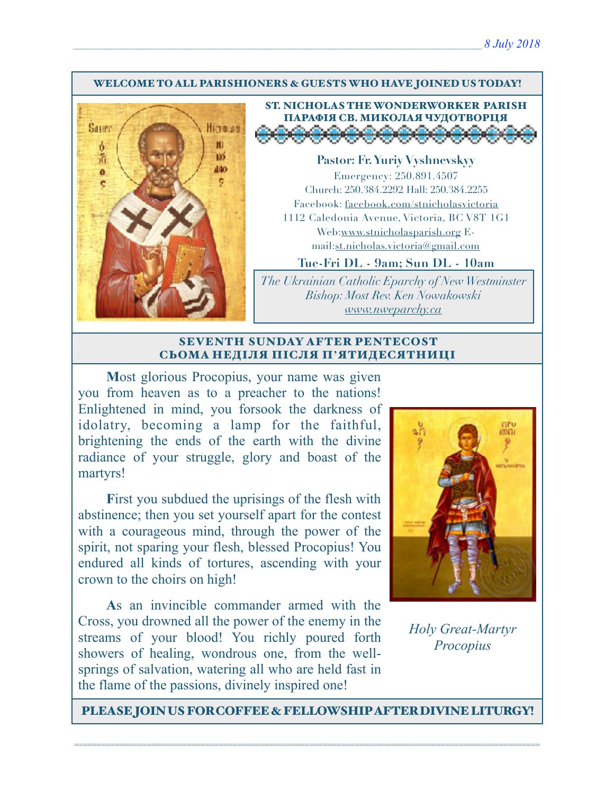#### WELCOME TO ALL PARISHIONERS & GUESTS WHO HAVE JOINED US TODAY!



ST. NICHOLAS THE WONDERWORKER PARISH ПАРАФІЯ СВ. МИКОЛАЯ ЧУДОТВОРЦЯ<br>Д<del>ООООООООООООО</del>

**Pastor: Fr. Yuriy Vyshnevskyy** Emergency: 250.891.4507 Church: 250.384.2292 Hall: 250.384.2255 Facebook: facebook.com/stnicholasvictoria 1112 Caledonia Avenue, Victoria, BC V8T 1G1 Web[:www.stnicholasparish.org](http://www.stnicholasparish.org) Email:[st.nicholas.victoria@gmail.com](mailto:st.nicholas.victoria@gmail.com)

**Tue-Fri DL - 9am; Sun DL - 10am**

*The Ukrainian Catholic Eparchy of New Westminster Bishop: Most Rev. Ken Nowakowski [www.nweparchy.ca](http://www.nweparchy.ca)*

#### SEVENTH SUNDAY AFTER PENTECOST СЬОМА НЕДІЛЯ ПІСЛЯ П**'**ЯТИДЕСЯТНИЦІ

**M**ost glorious Procopius, your name was given you from heaven as to a preacher to the nations! Enlightened in mind, you forsook the darkness of idolatry, becoming a lamp for the faithful, brightening the ends of the earth with the divine radiance of your struggle, glory and boast of the martyrs!

First you subdued the uprisings of the flesh with abstinence; then you set yourself apart for the contest with a courageous mind, through the power of the spirit, not sparing your flesh, blessed Procopius! You endured all kinds of tortures, ascending with your crown to the choirs on high!

**A**s an invincible commander armed with the Cross, you drowned all the power of the enemy in the streams of your blood! You richly poured forth showers of healing, wondrous one, from the wellsprings of salvation, watering all who are held fast in the flame of the passions, divinely inspired one!



*Holy Great-Martyr Procopius*

PLEASE JOIN US FOR COFFEE & FELLOWSHIP AFTER DIVINE LITURGY!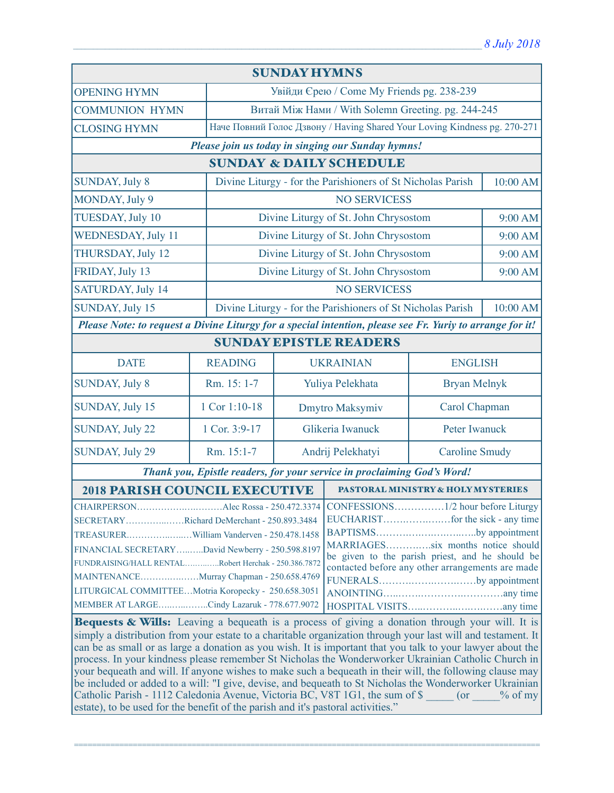| <b>SUNDAY HYMNS</b>                                                                                                                                                                                                                                                                                                                                                                                                                                                                                                                                                                                                                                                                                                           |                |                                                                           |                                                             |                                                    |                     |  |
|-------------------------------------------------------------------------------------------------------------------------------------------------------------------------------------------------------------------------------------------------------------------------------------------------------------------------------------------------------------------------------------------------------------------------------------------------------------------------------------------------------------------------------------------------------------------------------------------------------------------------------------------------------------------------------------------------------------------------------|----------------|---------------------------------------------------------------------------|-------------------------------------------------------------|----------------------------------------------------|---------------------|--|
| <b>OPENING HYMN</b>                                                                                                                                                                                                                                                                                                                                                                                                                                                                                                                                                                                                                                                                                                           |                |                                                                           |                                                             | Увійди Єрею / Come My Friends pg. 238-239          |                     |  |
| <b>COMMUNION HYMN</b>                                                                                                                                                                                                                                                                                                                                                                                                                                                                                                                                                                                                                                                                                                         |                |                                                                           |                                                             | Витай Між Нами / With Solemn Greeting. pg. 244-245 |                     |  |
| <b>CLOSING HYMN</b>                                                                                                                                                                                                                                                                                                                                                                                                                                                                                                                                                                                                                                                                                                           |                | Наче Повний Голос Дзвону / Having Shared Your Loving Kindness pg. 270-271 |                                                             |                                                    |                     |  |
| Please join us today in singing our Sunday hymns!                                                                                                                                                                                                                                                                                                                                                                                                                                                                                                                                                                                                                                                                             |                |                                                                           |                                                             |                                                    |                     |  |
| <b>SUNDAY &amp; DAILY SCHEDULE</b>                                                                                                                                                                                                                                                                                                                                                                                                                                                                                                                                                                                                                                                                                            |                |                                                                           |                                                             |                                                    |                     |  |
| <b>SUNDAY, July 8</b>                                                                                                                                                                                                                                                                                                                                                                                                                                                                                                                                                                                                                                                                                                         |                |                                                                           | Divine Liturgy - for the Parishioners of St Nicholas Parish |                                                    | 10:00 AM            |  |
| MONDAY, July 9                                                                                                                                                                                                                                                                                                                                                                                                                                                                                                                                                                                                                                                                                                                |                |                                                                           | <b>NO SERVICESS</b>                                         |                                                    |                     |  |
| TUESDAY, July 10                                                                                                                                                                                                                                                                                                                                                                                                                                                                                                                                                                                                                                                                                                              |                | Divine Liturgy of St. John Chrysostom                                     |                                                             |                                                    | 9:00 AM             |  |
| <b>WEDNESDAY, July 11</b>                                                                                                                                                                                                                                                                                                                                                                                                                                                                                                                                                                                                                                                                                                     |                | Divine Liturgy of St. John Chrysostom                                     |                                                             |                                                    | 9:00 AM             |  |
| THURSDAY, July 12                                                                                                                                                                                                                                                                                                                                                                                                                                                                                                                                                                                                                                                                                                             |                |                                                                           | Divine Liturgy of St. John Chrysostom                       |                                                    | 9:00 AM             |  |
| FRIDAY, July 13                                                                                                                                                                                                                                                                                                                                                                                                                                                                                                                                                                                                                                                                                                               |                |                                                                           | Divine Liturgy of St. John Chrysostom                       |                                                    | 9:00 AM             |  |
| SATURDAY, July 14                                                                                                                                                                                                                                                                                                                                                                                                                                                                                                                                                                                                                                                                                                             |                | <b>NO SERVICESS</b>                                                       |                                                             |                                                    |                     |  |
| SUNDAY, July 15                                                                                                                                                                                                                                                                                                                                                                                                                                                                                                                                                                                                                                                                                                               |                | Divine Liturgy - for the Parishioners of St Nicholas Parish<br>10:00 AM   |                                                             |                                                    |                     |  |
| Please Note: to request a Divine Liturgy for a special intention, please see Fr. Yuriy to arrange for it!                                                                                                                                                                                                                                                                                                                                                                                                                                                                                                                                                                                                                     |                |                                                                           |                                                             |                                                    |                     |  |
| <b>SUNDAY EPISTLE READERS</b>                                                                                                                                                                                                                                                                                                                                                                                                                                                                                                                                                                                                                                                                                                 |                |                                                                           |                                                             |                                                    |                     |  |
| <b>DATE</b>                                                                                                                                                                                                                                                                                                                                                                                                                                                                                                                                                                                                                                                                                                                   | <b>READING</b> | <b>UKRAINIAN</b>                                                          |                                                             | <b>ENGLISH</b>                                     |                     |  |
| <b>SUNDAY, July 8</b>                                                                                                                                                                                                                                                                                                                                                                                                                                                                                                                                                                                                                                                                                                         | Rm. 15: 1-7    |                                                                           | Yuliya Pelekhata                                            |                                                    | <b>Bryan Melnyk</b> |  |
| SUNDAY, July 15                                                                                                                                                                                                                                                                                                                                                                                                                                                                                                                                                                                                                                                                                                               | 1 Cor 1:10-18  | Dmytro Maksymiv                                                           |                                                             | Carol Chapman                                      |                     |  |
| <b>SUNDAY, July 22</b>                                                                                                                                                                                                                                                                                                                                                                                                                                                                                                                                                                                                                                                                                                        | 1 Cor. 3:9-17  | Glikeria Iwanuck                                                          |                                                             | Peter Iwanuck                                      |                     |  |
| <b>SUNDAY, July 29</b>                                                                                                                                                                                                                                                                                                                                                                                                                                                                                                                                                                                                                                                                                                        | Rm. 15:1-7     | Andrij Pelekhatyi                                                         |                                                             | <b>Caroline Smudy</b>                              |                     |  |
| Thank you, Epistle readers, for your service in proclaiming God's Word!                                                                                                                                                                                                                                                                                                                                                                                                                                                                                                                                                                                                                                                       |                |                                                                           |                                                             |                                                    |                     |  |
| <b>2018 PARISH COUNCIL EXECUTIVE</b>                                                                                                                                                                                                                                                                                                                                                                                                                                                                                                                                                                                                                                                                                          |                |                                                                           | <b>PASTORAL MINISTRY &amp; HOLY MYSTERIES</b>               |                                                    |                     |  |
| SECRETARYRichard DeMerchant - 250.893.3484<br>BAPTISMSby appointment  <br>MARRIAGESsix months notice should<br>FINANCIAL SECRETARYDavid Newberry - 250.598.8197<br>be given to the parish priest, and he should be<br>FUNDRAISING/HALL RENTALRobert Herchak - 250.386.7872<br>contacted before any other arrangements are made<br>MAINTENANCEMurray Chapman - 250.658.4769<br>FUNERALSby appointment<br>LITURGICAL COMMITTEEMotria Koropecky - 250.658.3051<br>MEMBER AT LARGECindy Lazaruk - 778.677.9072<br>Bequests & Wills: Leaving a bequeath is a process of giving a donation through your will. It is<br>simply a distribution from your estate to a charitable organization through your last will and testament. It |                |                                                                           |                                                             |                                                    |                     |  |
| can be as small or as large a donation as you wish. It is important that you talk to your lawyer about the<br>process. In your kindness please remember St Nicholas the Wonderworker Ukrainian Catholic Church in<br>your bequeath and will. If anyone wishes to make such a bequeath in their will, the following clause may<br>be included or added to a will: "I give, devise, and bequeath to St Nicholas the Wonderworker Ukrainian<br>Catholic Parish - 1112 Caledonia Avenue, Victoria BC, V8T 1G1, the sum of \$ (or % of my<br>estate), to be used for the benefit of the parish and it's pastoral activities."                                                                                                      |                |                                                                           |                                                             |                                                    |                     |  |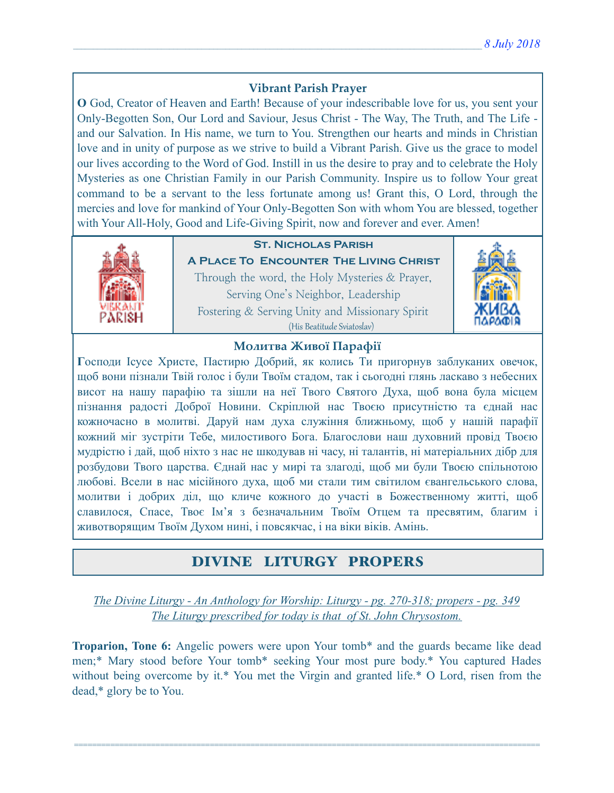# **Vibrant Parish Prayer**

**O** God, Creator of Heaven and Earth! Because of your indescribable love for us, you sent your Only-Begotten Son, Our Lord and Saviour, Jesus Christ - The Way, The Truth, and The Life and our Salvation. In His name, we turn to You. Strengthen our hearts and minds in Christian love and in unity of purpose as we strive to build a Vibrant Parish. Give us the grace to model our lives according to the Word of God. Instill in us the desire to pray and to celebrate the Holy Mysteries as one Christian Family in our Parish Community. Inspire us to follow Your great command to be a servant to the less fortunate among us! Grant this, O Lord, through the mercies and love for mankind of Your Only-Begotten Son with whom You are blessed, together with Your All-Holy, Good and Life-Giving Spirit, now and forever and ever. Amen!



## **St. Nicholas Parish**

**A Place To Encounter The Living Christ** Through the word, the Holy Mysteries & Prayer, Serving One's Neighbor, Leadership Fostering & Serving Unity and Missionary Spirit (His Beatitude Sviatoslav)



#### **Молитва Живої Парафії**

**Г**осподи Ісусе Христе, Пастирю Добрий, як колись Ти пригорнув заблуканих овечок, щоб вони пізнали Твій голос і були Твоїм стадом, так і сьогодні глянь ласкаво з небесних висот на нашу парафію та зішли на неї Твого Святого Духа, щоб вона була місцем пізнання радості Доброї Новини. Скріплюй нас Твоєю присутністю та єднай нас кожночасно в молитві. Даруй нам духа служіння ближньому, щоб у нашій парафії кожний міг зустріти Тебе, милостивого Бога. Благослови наш духовний провід Твоєю мудрістю і дай, щоб ніхто з нас не шкодував ні часу, ні талантів, ні матеріальних дібр для розбудови Твого царства. Єднай нас у мирі та злагоді, щоб ми були Твоєю спільнотою любові. Всели в нас місійного духа, щоб ми стали тим світилом євангельського слова, молитви і добрих діл, що кличе кожного до участі в Божественному житті, щоб славилося, Спасе, Твоє Ім'я з безначальним Твоїм Отцем та пресвятим, благим і животворящим Твоїм Духом нині, і повсякчас, і на віки віків. Амінь.

# DIVINE LITURGY PROPERS

*The Divine Liturgy - An Anthology for Worship: Liturgy - pg. 270-318; propers - pg. 349 The Liturgy prescribed for today is that of St. John Chrysostom.* 

**Troparion, Tone 6:** Angelic powers were upon Your tomb\* and the guards became like dead men;\* Mary stood before Your tomb\* seeking Your most pure body.\* You captured Hades without being overcome by it.\* You met the Virgin and granted life.\* O Lord, risen from the dead,\* glory be to You.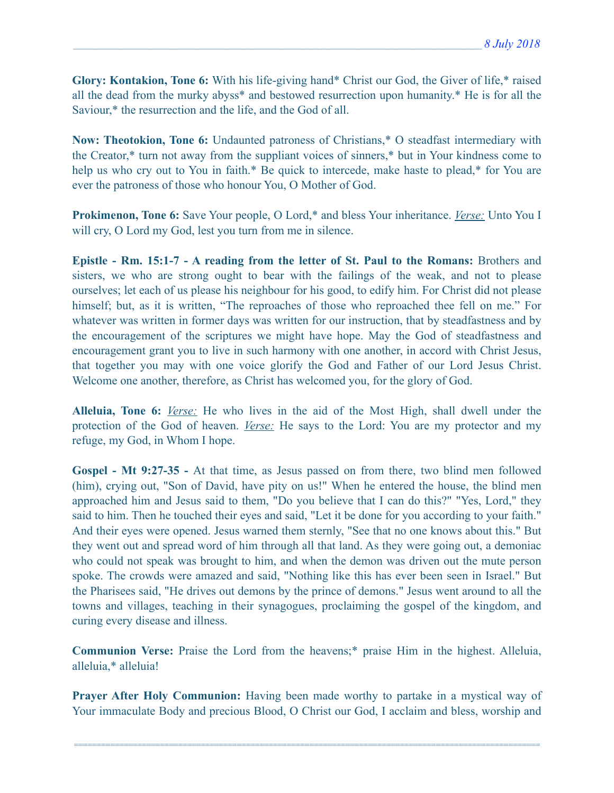**Glory: Kontakion, Tone 6:** With his life-giving hand\* Christ our God, the Giver of life,\* raised all the dead from the murky abyss\* and bestowed resurrection upon humanity.\* He is for all the Saviour,\* the resurrection and the life, and the God of all.

**Now: Theotokion, Tone 6:** Undaunted patroness of Christians,\* O steadfast intermediary with the Creator,\* turn not away from the suppliant voices of sinners,\* but in Your kindness come to help us who cry out to You in faith.\* Be quick to intercede, make haste to plead,\* for You are ever the patroness of those who honour You, O Mother of God.

**Prokimenon, Tone 6:** Save Your people, O Lord,\* and bless Your inheritance. *Verse:* Unto You I will cry, O Lord my God, lest you turn from me in silence.

**Epistle - Rm. 15:1-7 - A reading from the letter of St. Paul to the Romans:** Brothers and sisters, we who are strong ought to bear with the failings of the weak, and not to please ourselves; let each of us please his neighbour for his good, to edify him. For Christ did not please himself; but, as it is written, "The reproaches of those who reproached thee fell on me." For whatever was written in former days was written for our instruction, that by steadfastness and by the encouragement of the scriptures we might have hope. May the God of steadfastness and encouragement grant you to live in such harmony with one another, in accord with Christ Jesus, that together you may with one voice glorify the God and Father of our Lord Jesus Christ. Welcome one another, therefore, as Christ has welcomed you, for the glory of God.

**Alleluia, Tone 6:** *Verse:* He who lives in the aid of the Most High, shall dwell under the protection of the God of heaven. *Verse:* He says to the Lord: You are my protector and my refuge, my God, in Whom I hope.

**Gospel - Mt 9:27-35 -** At that time, as Jesus passed on from there, two blind men followed (him), crying out, "Son of David, have pity on us!" When he entered the house, the blind men approached him and Jesus said to them, "Do you believe that I can do this?" "Yes, Lord," they said to him. Then he touched their eyes and said, "Let it be done for you according to your faith." And their eyes were opened. Jesus warned them sternly, "See that no one knows about this." But they went out and spread word of him through all that land. As they were going out, a demoniac who could not speak was brought to him, and when the demon was driven out the mute person spoke. The crowds were amazed and said, "Nothing like this has ever been seen in Israel." But the Pharisees said, "He drives out demons by the prince of demons." Jesus went around to all the towns and villages, teaching in their synagogues, proclaiming the gospel of the kingdom, and curing every disease and illness.

**Communion Verse:** Praise the Lord from the heavens;\* praise Him in the highest. Alleluia, alleluia,\* alleluia!

**Prayer After Holy Communion:** Having been made worthy to partake in a mystical way of Your immaculate Body and precious Blood, O Christ our God, I acclaim and bless, worship and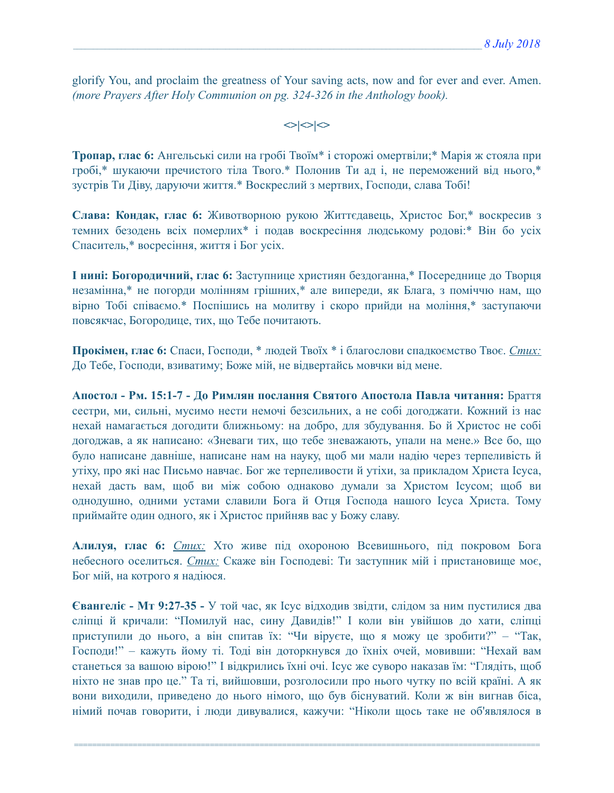glorify You, and proclaim the greatness of Your saving acts, now and for ever and ever. Amen. *(more Prayers After Holy Communion on pg. 324-326 in the Anthology book).* 

 $\left| \diamond \right| \diamond \left| \diamond \right|$ 

**Тропар, глас 6:** Ангельські сили на гробі Твоїм\* і сторожі омертвіли;\* Марія ж стояла при гробі,\* шукаючи пречистого тіла Твого.\* Полонив Ти ад і, не переможений від нього,\* зустрів Ти Діву, даруючи життя.\* Воскреслий з мертвих, Господи, слава Тобі!

**Слава: Кондак, глас 6:** Животворною рукою Життєдавець, Христос Бог,\* воскресив з темних безодень всіх померлих\* і подав воскресіння людському родові:\* Він бо усіх Спаситель,\* восресіння, життя і Бог усіх.

**І нині: Богородичний, глас 6:** Заступнице християн бездоганна,\* Посереднице до Творця незамінна,\* не погорди молінням грішних,\* але випереди, як Блага, з поміччю нам, що вірно Тобі співаємо.\* Поспішись на молитву і скоро прийди на моління,\* заступаючи повсякчас, Богородице, тих, що Тебе почитають.

**Прокімен, глас 6:** Спаси, Господи, \* людей Твоїх \* і благослови спадкоємство Твоє. *Стих:* До Тебе, Господи, взиватиму; Боже мій, не відвертайсь мовчки від мене.

**Апостол - Рм. 15:1-7 - До Римлян послання Святого Апостола Павла читання:** Браття сестри, ми, сильні, мусимо нести немочі безсильних, а не собі догоджати. Кожний із нас нехай намагається догодити ближньому: на добро, для збудування. Бо й Христос не собі догоджав, а як написано: «Зневаги тих, що тебе зневажають, упали на мене.» Все бо, що було написане давніше, написане нам на науку, щоб ми мали надію через терпеливість й утіху, про які нас Письмо навчає. Бог же терпеливости й утіхи, за прикладом Христа Ісуса, нехай дасть вам, щоб ви між собою однаково думали за Христом Ісусом; щоб ви однодушно, одними устами славили Бога й Отця Господа нашого Ісуса Христа. Тому приймайте один одного, як і Христос прийняв вас у Божу славу.

**Алилуя, глас 6:** *Стих:* Хто живе під охороною Всевишнього, під покровом Бога небесного оселиться. *Стих:* Скаже він Господеві: Ти заступник мій і пристановище моє, Бог мій, на котрого я надіюся.

**Євангеліє - Мт 9:27-35 -** У той час, як Ісус відходив звідти, слідом за ним пустилися два сліпці й кричали: "Помилуй нас, сину Давидів!" І коли він увійшов до хати, сліпці приступили до нього, а він спитав їх: "Чи віруєте, що я можу це зробити?" – "Так, Господи!" – кажуть йому ті. Тоді він доторкнувся до їхніх очей, мовивши: "Нехай вам станеться за вашою вірою!" І відкрились їхні очі. Ісус же суворо наказав їм: "Глядіть, щоб ніхто не знав про це." Та ті, вийшовши, розголосили про нього чутку по всій країні. А як вони виходили, приведено до нього німого, що був біснуватий. Коли ж він вигнав біса, німий почав говорити, і люди дивувалися, кажучи: "Ніколи щось таке не об'являлося в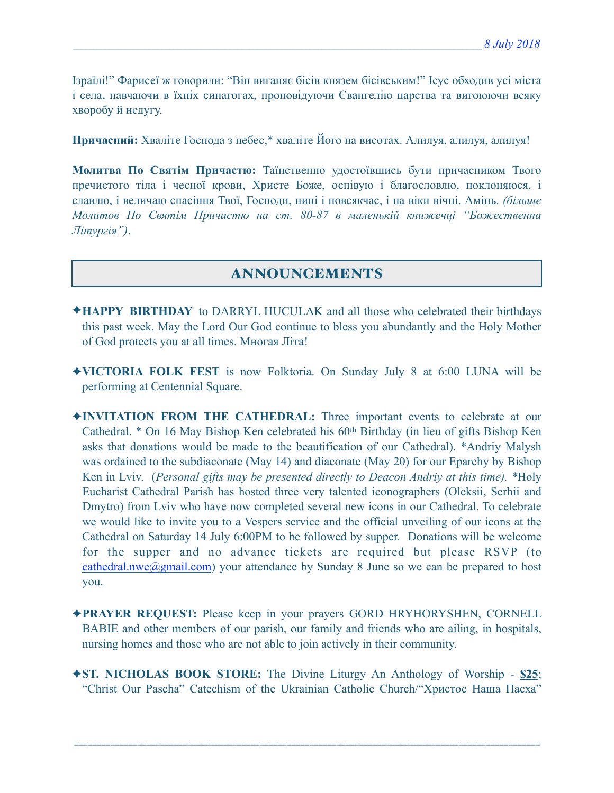Ізраїлі!" Фарисеї ж говорили: "Він виганяє бісів князем бісівським!" Ісус обходив усі міста і села, навчаючи в їхніх синагогах, проповідуючи Євангелію царства та вигоюючи всяку хворобу й недугу.

**Причасний:** Хваліте Господа з небес,\* хваліте Його на висотах. Алилуя, алилуя, алилуя!

**Молитва По Святім Причастю:** Таїнственно удостоївшись бути причасником Твого пречистого тіла і чесної крови, Христе Боже, оспівую і благословлю, поклоняюся, і славлю, і величаю спасіння Твої, Господи, нині і повсякчас, і на віки вічні. Амінь. *(більше Молитов По Святім Причастю на ст. 80-87 в маленькій книжечці "Божественна Літургія")*.

# ANNOUNCEMENTS

- ✦**HAPPY BIRTHDAY** to DARRYL HUCULAK and all those who celebrated their birthdays this past week. May the Lord Our God continue to bless you abundantly and the Holy Mother of God protects you at all times. Многая Літа!
- ✦**VICTORIA FOLK FEST** is now Folktoria. On Sunday July 8 at 6:00 LUNA will be performing at Centennial Square.
- ✦**INVITATION FROM THE CATHEDRAL:** Three important events to celebrate at our Cathedral. \* On 16 May Bishop Ken celebrated his 60th Birthday (in lieu of gifts Bishop Ken asks that donations would be made to the beautification of our Cathedral). \*Andriy Malysh was ordained to the subdiaconate (May 14) and diaconate (May 20) for our Eparchy by Bishop Ken in Lviv. (*Personal gifts may be presented directly to Deacon Andriy at this time). \**Holy Eucharist Cathedral Parish has hosted three very talented iconographers (Oleksii, Serhii and Dmytro) from Lviv who have now completed several new icons in our Cathedral. To celebrate we would like to invite you to a Vespers service and the official unveiling of our icons at the Cathedral on Saturday 14 July 6:00PM to be followed by supper. Donations will be welcome for the supper and no advance tickets are required but please RSVP (to [cathedral.nwe@gmail.com](mailto:cathedral.nwe@gmail.com)) your attendance by Sunday 8 June so we can be prepared to host you.
- ✦**PRAYER REQUEST:** Please keep in your prayers GORD HRYHORYSHEN, CORNELL BABIE and other members of our parish, our family and friends who are ailing, in hospitals, nursing homes and those who are not able to join actively in their community.
- ✦**ST. NICHOLAS BOOK STORE:** The Divine Liturgy An Anthology of Worship **\$25**; "Christ Our Pascha" Catechism of the Ukrainian Catholic Church/"Христос Наша Пасха"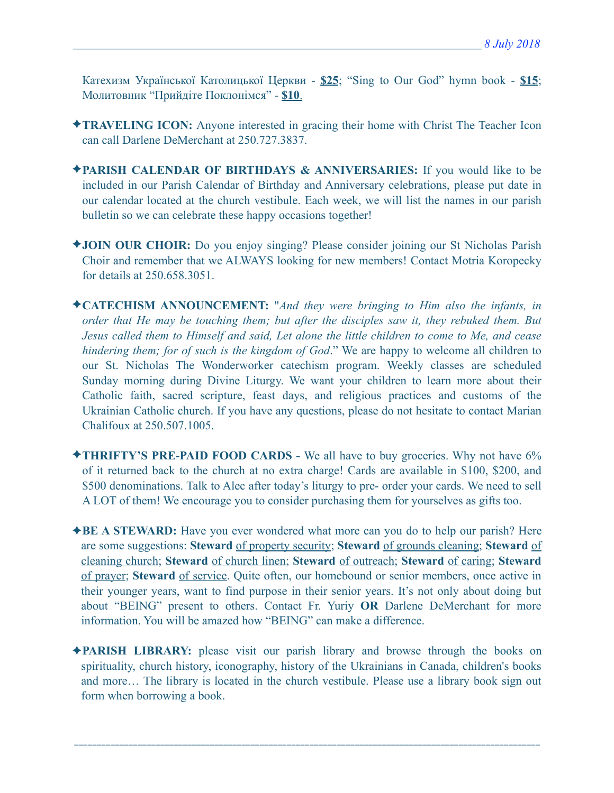Катехизм Української Католицької Церкви - **\$25**; "Sing to Our God" hymn book - **\$15**; Молитовник "Прийдіте Поклонімся" - **\$10**.

- ✦**TRAVELING ICON:** Anyone interested in gracing their home with Christ The Teacher Icon can call Darlene DeMerchant at 250.727.3837.
- ✦**PARISH CALENDAR OF BIRTHDAYS & ANNIVERSARIES:** If you would like to be included in our Parish Calendar of Birthday and Anniversary celebrations, please put date in our calendar located at the church vestibule. Each week, we will list the names in our parish bulletin so we can celebrate these happy occasions together!
- ✦**JOIN OUR CHOIR:** Do you enjoy singing? Please consider joining our St Nicholas Parish Choir and remember that we ALWAYS looking for new members! Contact Motria Koropecky for details at 250.658.3051.
- ✦**CATECHISM ANNOUNCEMENT:** "*And they were bringing to Him also the infants, in order that He may be touching them; but after the disciples saw it, they rebuked them. But Jesus called them to Himself and said, Let alone the little children to come to Me, and cease hindering them; for of such is the kingdom of God*." We are happy to welcome all children to our St. Nicholas The Wonderworker catechism program. Weekly classes are scheduled Sunday morning during Divine Liturgy. We want your children to learn more about their Catholic faith, sacred scripture, feast days, and religious practices and customs of the Ukrainian Catholic church. If you have any questions, please do not hesitate to contact Marian Chalifoux at 250.507.1005.
- ✦**THRIFTY'S PRE-PAID FOOD CARDS** We all have to buy groceries. Why not have 6% of it returned back to the church at no extra charge! Cards are available in \$100, \$200, and \$500 denominations. Talk to Alec after today's liturgy to pre- order your cards. We need to sell A LOT of them! We encourage you to consider purchasing them for yourselves as gifts too.
- ✦**BE A STEWARD:** Have you ever wondered what more can you do to help our parish? Here are some suggestions: **Steward** of property security; **Steward** of grounds cleaning; **Steward** of cleaning church; **Steward** of church linen; **Steward** of outreach; **Steward** of caring; **Steward** of prayer; **Steward** of service. Quite often, our homebound or senior members, once active in their younger years, want to find purpose in their senior years. It's not only about doing but about "BEING" present to others. Contact Fr. Yuriy **OR** Darlene DeMerchant for more information. You will be amazed how "BEING" can make a difference.
- ✦**PARISH LIBRARY:** please visit our parish library and browse through the books on spirituality, church history, iconography, history of the Ukrainians in Canada, children's books and more… The library is located in the church vestibule. Please use a library book sign out form when borrowing a book.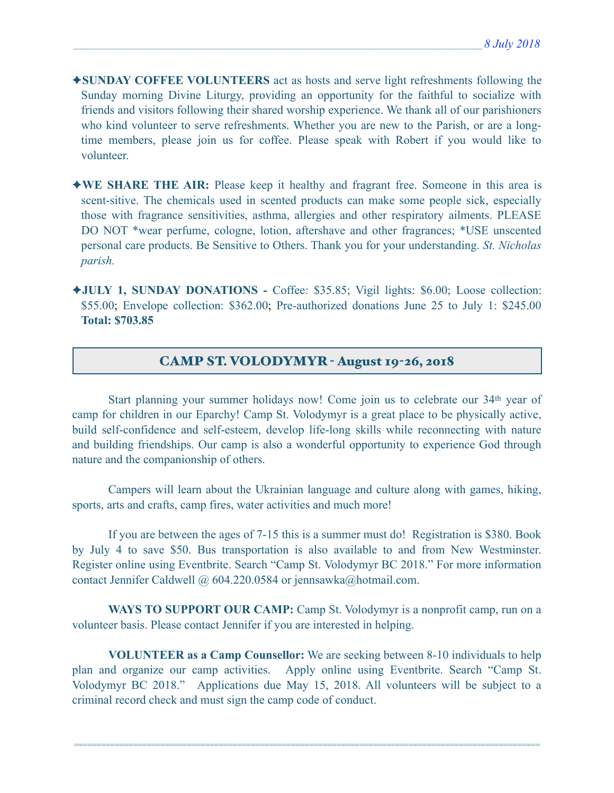- ✦**SUNDAY COFFEE VOLUNTEERS** act as hosts and serve light refreshments following the Sunday morning Divine Liturgy, providing an opportunity for the faithful to socialize with friends and visitors following their shared worship experience. We thank all of our parishioners who kind volunteer to serve refreshments. Whether you are new to the Parish, or are a longtime members, please join us for coffee. Please speak with Robert if you would like to volunteer.
- ✦**WE SHARE THE AIR:** Please keep it healthy and fragrant free. Someone in this area is scent-sitive. The chemicals used in scented products can make some people sick, especially those with fragrance sensitivities, asthma, allergies and other respiratory ailments. PLEASE DO NOT \*wear perfume, cologne, lotion, aftershave and other fragrances; \*USE unscented personal care products. Be Sensitive to Others. Thank you for your understanding. *St. Nicholas parish.*
- ✦**JULY 1, SUNDAY DONATIONS** Coffee: \$35.85; Vigil lights: \$6.00; Loose collection: \$55.00; Envelope collection: \$362.00; Pre-authorized donations June 25 to July 1: \$245.00 **Total: \$703.85**

# CAMP ST. VOLODYMYR - August 19-26, 2018

 Start planning your summer holidays now! Come join us to celebrate our 34th year of camp for children in our Eparchy! Camp St. Volodymyr is a great place to be physically active, build self-confidence and self-esteem, develop life-long skills while reconnecting with nature and building friendships. Our camp is also a wonderful opportunity to experience God through nature and the companionship of others.

 Campers will learn about the Ukrainian language and culture along with games, hiking, sports, arts and crafts, camp fires, water activities and much more!

 If you are between the ages of 7-15 this is a summer must do! Registration is \$380. Book by July 4 to save \$50. Bus transportation is also available to and from New Westminster. Register online using Eventbrite. Search "Camp St. Volodymyr BC 2018." For more information contact Jennifer Caldwell @ 604.220.0584 or [jennsawka@hotmail.com.](mailto:jennsawka@hotmail.com)

**WAYS TO SUPPORT OUR CAMP:** Camp St. Volodymyr is a nonprofit camp, run on a volunteer basis. Please contact Jennifer if you are interested in helping.

**VOLUNTEER as a Camp Counsellor:** We are seeking between 8-10 individuals to help plan and organize our camp activities. Apply online using Eventbrite. Search "Camp St. Volodymyr BC 2018." Applications due May 15, 2018. All volunteers will be subject to a criminal record check and must sign the camp code of conduct.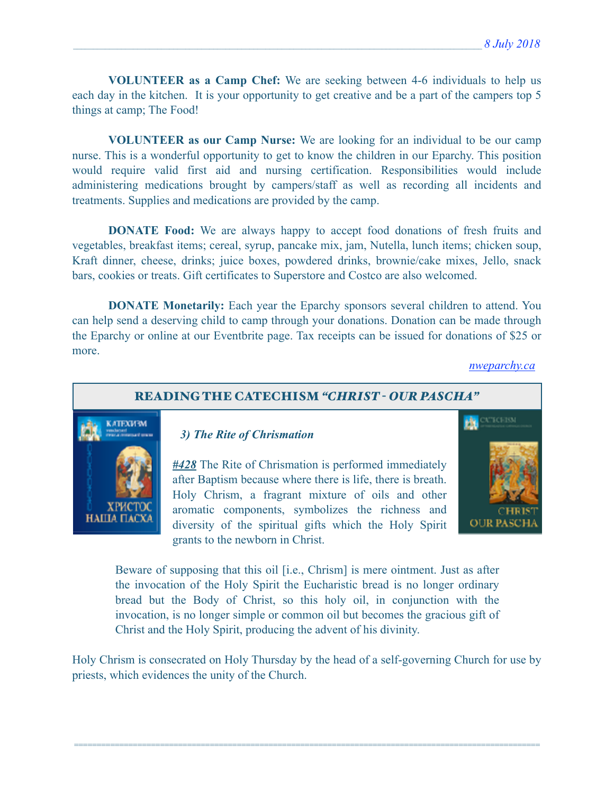**VOLUNTEER as a Camp Chef:** We are seeking between 4-6 individuals to help us each day in the kitchen. It is your opportunity to get creative and be a part of the campers top 5 things at camp; The Food!

**VOLUNTEER as our Camp Nurse:** We are looking for an individual to be our camp nurse. This is a wonderful opportunity to get to know the children in our Eparchy. This position would require valid first aid and nursing certification. Responsibilities would include administering medications brought by campers/staff as well as recording all incidents and treatments. Supplies and medications are provided by the camp.

**DONATE Food:** We are always happy to accept food donations of fresh fruits and vegetables, breakfast items; cereal, syrup, pancake mix, jam, Nutella, lunch items; chicken soup, Kraft dinner, cheese, drinks; juice boxes, powdered drinks, brownie/cake mixes, Jello, snack bars, cookies or treats. Gift certificates to Superstore and Costco are also welcomed.

 **DONATE Monetarily:** Each year the Eparchy sponsors several children to attend. You can help send a deserving child to camp through your donations. Donation can be made through the Eparchy or online at our Eventbrite page. Tax receipts can be issued for donations of \$25 or more.

*[nweparchy.ca](http://nweparchy.ca)*

# READING THE CATECHISM *"CHRIST - OUR PASCHA"***KATEXIA3M** 此  *3) The Rite of Chrismation #428* The Rite of Chrismation is performed immediately after Baptism because where there is life, there is breath. Holy Chrism, a fragrant mixture of oils and other aromatic components, symbolizes the richness and **HAIIIA ITA(** diversity of the spiritual gifts which the Holy Spirit

grants to the newborn in Christ.



Beware of supposing that this oil [i.e., Chrism] is mere ointment. Just as after the invocation of the Holy Spirit the Eucharistic bread is no longer ordinary bread but the Body of Christ, so this holy oil, in conjunction with the invocation, is no longer simple or common oil but becomes the gracious gift of Christ and the Holy Spirit, producing the advent of his divinity.

Holy Chrism is consecrated on Holy Thursday by the head of a self-governing Church for use by priests, which evidences the unity of the Church.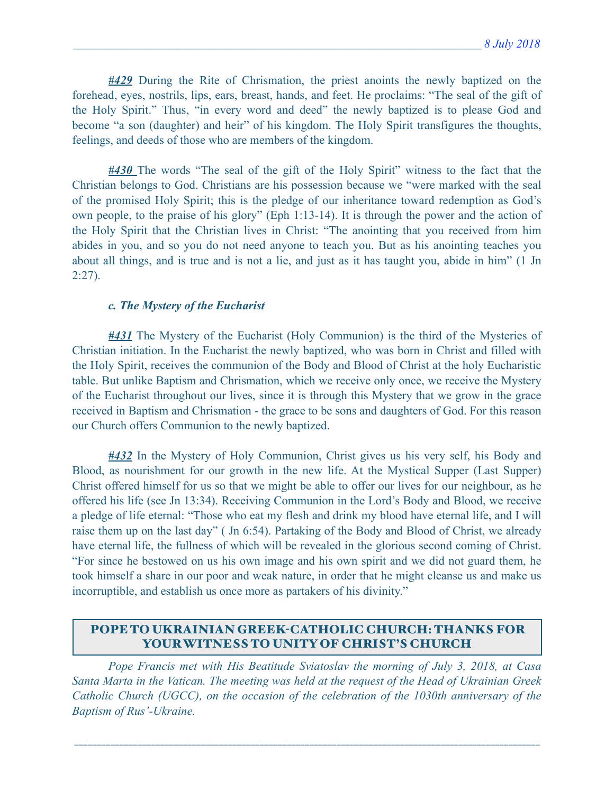*#429* During the Rite of Chrismation, the priest anoints the newly baptized on the forehead, eyes, nostrils, lips, ears, breast, hands, and feet. He proclaims: "The seal of the gift of the Holy Spirit." Thus, "in every word and deed" the newly baptized is to please God and become "a son (daughter) and heir" of his kingdom. The Holy Spirit transfigures the thoughts, feelings, and deeds of those who are members of the kingdom.

*#430* The words "The seal of the gift of the Holy Spirit" witness to the fact that the Christian belongs to God. Christians are his possession because we "were marked with the seal of the promised Holy Spirit; this is the pledge of our inheritance toward redemption as God's own people, to the praise of his glory" (Eph 1:13-14). It is through the power and the action of the Holy Spirit that the Christian lives in Christ: "The anointing that you received from him abides in you, and so you do not need anyone to teach you. But as his anointing teaches you about all things, and is true and is not a lie, and just as it has taught you, abide in him" (1 Jn 2:27).

#### *c. The Mystery of the Eucharist*

*#431* The Mystery of the Eucharist (Holy Communion) is the third of the Mysteries of Christian initiation. In the Eucharist the newly baptized, who was born in Christ and filled with the Holy Spirit, receives the communion of the Body and Blood of Christ at the holy Eucharistic table. But unlike Baptism and Chrismation, which we receive only once, we receive the Mystery of the Eucharist throughout our lives, since it is through this Mystery that we grow in the grace received in Baptism and Chrismation - the grace to be sons and daughters of God. For this reason our Church offers Communion to the newly baptized.

*#432* In the Mystery of Holy Communion, Christ gives us his very self, his Body and Blood, as nourishment for our growth in the new life. At the Mystical Supper (Last Supper) Christ offered himself for us so that we might be able to offer our lives for our neighbour, as he offered his life (see Jn 13:34). Receiving Communion in the Lord's Body and Blood, we receive a pledge of life eternal: "Those who eat my flesh and drink my blood have eternal life, and I will raise them up on the last day" ( Jn 6:54). Partaking of the Body and Blood of Christ, we already have eternal life, the fullness of which will be revealed in the glorious second coming of Christ. "For since he bestowed on us his own image and his own spirit and we did not guard them, he took himself a share in our poor and weak nature, in order that he might cleanse us and make us incorruptible, and establish us once more as partakers of his divinity."

# POPE TO UKRAINIAN GREEK-CATHOLIC CHURCH: THANKS FOR YOUR WITNESS TO UNITY OF CHRIST'S CHURCH

 *Pope Francis met with His Beatitude Sviatoslav the morning of July 3, 2018, at Casa Santa Marta in the Vatican. The meeting was held at the request of the Head of Ukrainian Greek Catholic Church (UGCC), on the occasion of the celebration of the 1030th anniversary of the Baptism of Rus'-Ukraine.*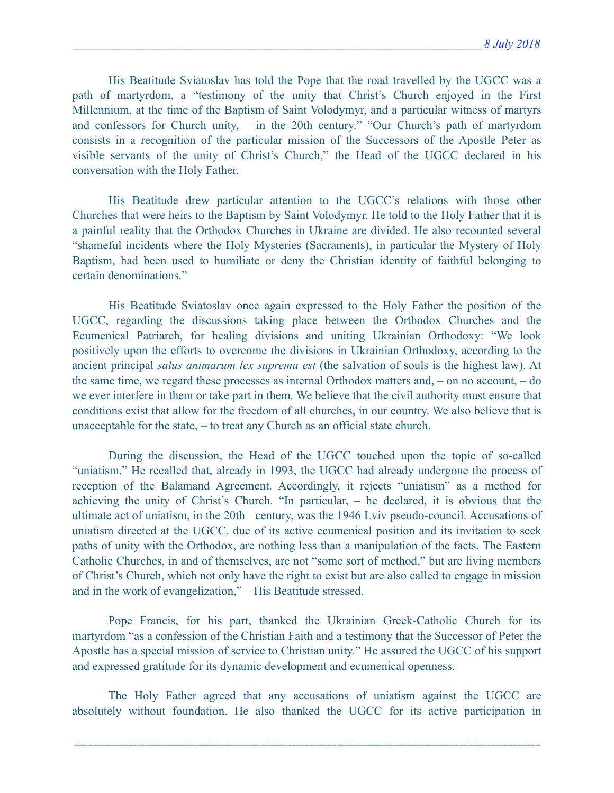His Beatitude Sviatoslav has told the Pope that the road travelled by the UGCC was a path of martyrdom, a "testimony of the unity that Christ's Church enjoyed in the First Millennium, at the time of the Baptism of Saint Volodymyr, and a particular witness of martyrs and confessors for Church unity, – in the 20th century." "Our Church's path of martyrdom consists in a recognition of the particular mission of the Successors of the Apostle Peter as visible servants of the unity of Christ's Church," the Head of the UGCC declared in his conversation with the Holy Father.

 His Beatitude drew particular attention to the UGCC's relations with those other Churches that were heirs to the Baptism by Saint Volodymyr. He told to the Holy Father that it is a painful reality that the Orthodox Churches in Ukraine are divided. He also recounted several "shameful incidents where the Holy Mysteries (Sacraments), in particular the Mystery of Holy Baptism, had been used to humiliate or deny the Christian identity of faithful belonging to certain denominations."

 His Beatitude Sviatoslav once again expressed to the Holy Father the position of the UGCC, regarding the discussions taking place between the Orthodox Churches and the Ecumenical Patriarch, for healing divisions and uniting Ukrainian Orthodoxy: "We look positively upon the efforts to overcome the divisions in Ukrainian Orthodoxy, according to the ancient principal *salus animarum lex suprema est* (the salvation of souls is the highest law). At the same time, we regard these processes as internal Orthodox matters and, – on no account, – do we ever interfere in them or take part in them. We believe that the civil authority must ensure that conditions exist that allow for the freedom of all churches, in our country. We also believe that is unacceptable for the state, – to treat any Church as an official state church.

 During the discussion, the Head of the UGCC touched upon the topic of so-called "uniatism." He recalled that, already in 1993, the UGCC had already undergone the process of reception of the Balamand Agreement. Accordingly, it rejects "uniatism" as a method for achieving the unity of Christ's Church. "In particular, – he declared, it is obvious that the ultimate act of uniatism, in the 20th century, was the 1946 Lviv pseudo-council. Accusations of uniatism directed at the UGCC, due of its active ecumenical position and its invitation to seek paths of unity with the Orthodox, are nothing less than a manipulation of the facts. The Eastern Catholic Churches, in and of themselves, are not "some sort of method," but are living members of Christ's Church, which not only have the right to exist but are also called to engage in mission and in the work of evangelization," – His Beatitude stressed.

 Pope Francis, for his part, thanked the Ukrainian Greek-Catholic Church for its martyrdom "as a confession of the Christian Faith and a testimony that the Successor of Peter the Apostle has a special mission of service to Christian unity." He assured the UGCC of his support and expressed gratitude for its dynamic development and ecumenical openness.

 The Holy Father agreed that any accusations of uniatism against the UGCC are absolutely without foundation. He also thanked the UGCC for its active participation in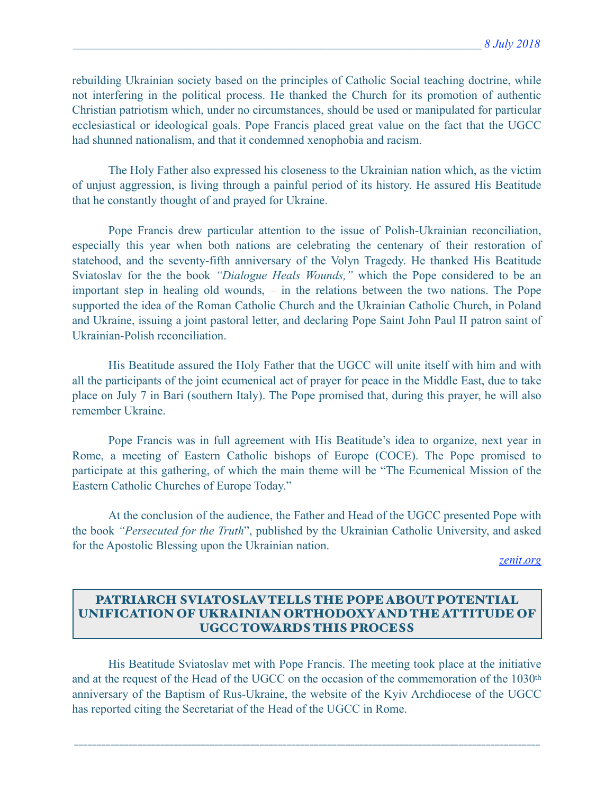rebuilding Ukrainian society based on the principles of Catholic Social teaching doctrine, while not interfering in the political process. He thanked the Church for its promotion of authentic Christian patriotism which, under no circumstances, should be used or manipulated for particular ecclesiastical or ideological goals. Pope Francis placed great value on the fact that the UGCC had shunned nationalism, and that it condemned xenophobia and racism.

 The Holy Father also expressed his closeness to the Ukrainian nation which, as the victim of unjust aggression, is living through a painful period of its history. He assured His Beatitude that he constantly thought of and prayed for Ukraine.

 Pope Francis drew particular attention to the issue of Polish-Ukrainian reconciliation, especially this year when both nations are celebrating the centenary of their restoration of statehood, and the seventy-fifth anniversary of the Volyn Tragedy. He thanked His Beatitude Sviatoslav for the the book *"Dialogue Heals Wounds,"* which the Pope considered to be an important step in healing old wounds, – in the relations between the two nations. The Pope supported the idea of the Roman Catholic Church and the Ukrainian Catholic Church, in Poland and Ukraine, issuing a joint pastoral letter, and declaring Pope Saint John Paul II patron saint of Ukrainian-Polish reconciliation.

 His Beatitude assured the Holy Father that the UGCC will unite itself with him and with all the participants of the joint ecumenical act of prayer for peace in the Middle East, due to take place on July 7 in Bari (southern Italy). The Pope promised that, during this prayer, he will also remember Ukraine.

 Pope Francis was in full agreement with His Beatitude's idea to organize, next year in Rome, a meeting of Eastern Catholic bishops of Europe (COCE). The Pope promised to participate at this gathering, of which the main theme will be "The Ecumenical Mission of the Eastern Catholic Churches of Europe Today."

 At the conclusion of the audience, the Father and Head of the UGCC presented Pope with the book *"Persecuted for the Truth*", published by the Ukrainian Catholic University, and asked for the Apostolic Blessing upon the Ukrainian nation.

*[zenit.org](http://zenit.org)*

## PATRIARCH SVIATOSLAV TELLS THE POPE ABOUT POTENTIAL UNIFICATION OF UKRAINIAN ORTHODOXY AND THE ATTITUDE OF UGCC TOWARDS THIS PROCESS

 His Beatitude Sviatoslav met with Pope Francis. The meeting took place at the initiative and at the request of the Head of the UGCC on the occasion of the commemoration of the 1030th anniversary of the Baptism of Rus-Ukraine, the website of the Kyiv Archdiocese of the UGCC has reported citing the Secretariat of the Head of the UGCC in Rome.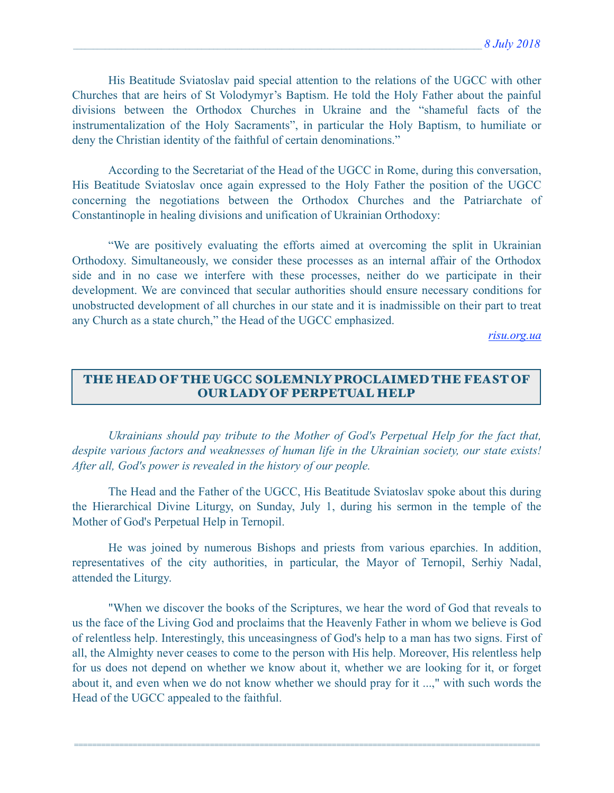His Beatitude Sviatoslav paid special attention to the relations of the UGCC with other Churches that are heirs of St Volodymyr's Baptism. He told the Holy Father about the painful divisions between the Orthodox Churches in Ukraine and the "shameful facts of the instrumentalization of the Holy Sacraments", in particular the Holy Baptism, to humiliate or deny the Christian identity of the faithful of certain denominations."

 According to the Secretariat of the Head of the UGCC in Rome, during this conversation, His Beatitude Sviatoslav once again expressed to the Holy Father the position of the UGCC concerning the negotiations between the Orthodox Churches and the Patriarchate of Constantinople in healing divisions and unification of Ukrainian Orthodoxy:

 "We are positively evaluating the efforts aimed at overcoming the split in Ukrainian Orthodoxy. Simultaneously, we consider these processes as an internal affair of the Orthodox side and in no case we interfere with these processes, neither do we participate in their development. We are convinced that secular authorities should ensure necessary conditions for unobstructed development of all churches in our state and it is inadmissible on their part to treat any Church as a state church," the Head of the UGCC emphasized.

*[risu.org.ua](http://risu.org.ua)* 

#### THE HEAD OF THE UGCC SOLEMNLY PROCLAIMED THE FEAST OF OUR LADY OF PERPETUAL HELP

 *Ukrainians should pay tribute to the Mother of God's Perpetual Help for the fact that, despite various factors and weaknesses of human life in the Ukrainian society, our state exists! After all, God's power is revealed in the history of our people.* 

 The Head and the Father of the UGCC, His Beatitude Sviatoslav spoke about this during the Hierarchical Divine Liturgy, on Sunday, July 1, during his sermon in the temple of the Mother of God's Perpetual Help in Ternopil.

 He was joined by numerous Bishops and priests from various eparchies. In addition, representatives of the city authorities, in particular, the Mayor of Ternopil, Serhiy Nadal, attended the Liturgy.

 "When we discover the books of the Scriptures, we hear the word of God that reveals to us the face of the Living God and proclaims that the Heavenly Father in whom we believe is God of relentless help. Interestingly, this unceasingness of God's help to a man has two signs. First of all, the Almighty never ceases to come to the person with His help. Moreover, His relentless help for us does not depend on whether we know about it, whether we are looking for it, or forget about it, and even when we do not know whether we should pray for it ...," with such words the Head of the UGCC appealed to the faithful.